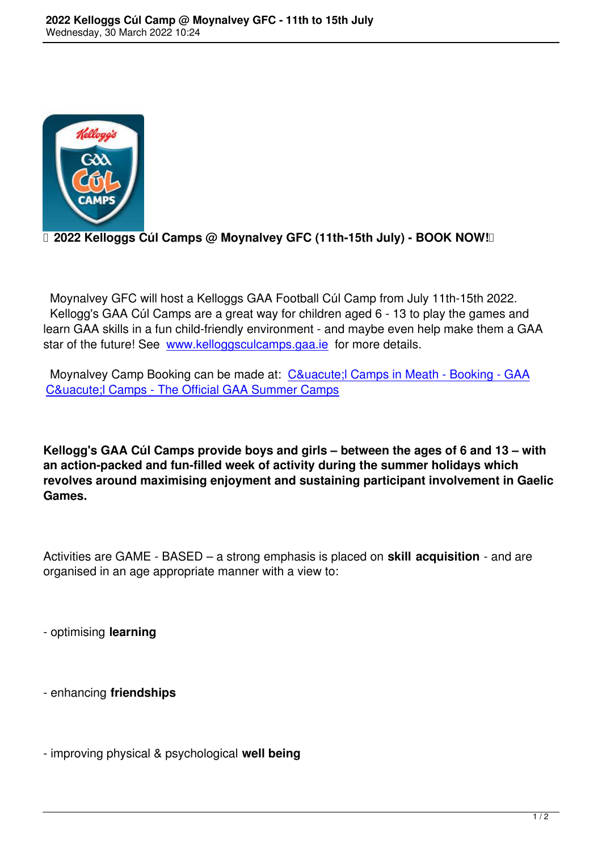

## **D 2022 Kelloggs Cúl Camps @ Moynalvey GFC (11th-15th July) - BOOK NOW!**

 Moynalvey GFC will host a Kelloggs GAA Football Cúl Camp from July 11th-15th 2022. Kellogg's GAA Cúl Camps are a great way for children aged 6 - 13 to play the games and learn GAA skills in a fun child-friendly environment - and maybe even help make them a GAA star of the future! See www.kelloggsculcamps.gaa.ie for more details.

Moynalvey Camp Booking can be made at: Cú Camps in Meath - Booking - GAA Cú Camps - T[he Official GAA Summer Camp](http://www.kelloggsculcamps.gaa.ie/)s

**[Kellogg's GAA Cúl Camps provide boys and girls –](https://www.kelloggsculcamps.gaa.ie/booking/?utm_source=website&utm_medium=findcamps_herocard&utm_campaign=culcamps2022&utm_content=findcamp_herocard&county=Meath&page=1) between the ages of 6 and 13 – with an action-packed and fun-filled week of activity during the summer holidays which revolves around maximising enjoyment and sustaining participant involvement in Gaelic Games.**

Activities are GAME - BASED – a strong emphasis is placed on **skill acquisition** - and are organised in an age appropriate manner with a view to:

- optimising **learning**

- enhancing **friendships**

- improving physical & psychological **well being**